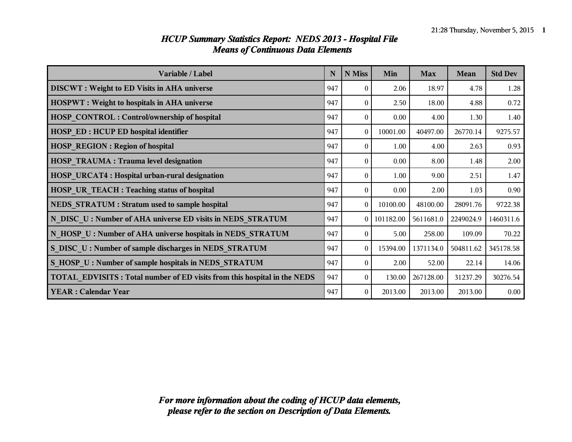| Variable / Label                                                                | $\mathbf N$ | N Miss         | Min         | <b>Max</b> | Mean      | <b>Std Dev</b> |
|---------------------------------------------------------------------------------|-------------|----------------|-------------|------------|-----------|----------------|
| <b>DISCWT</b> : Weight to ED Visits in AHA universe                             | 947         | 0              | 2.06        | 18.97      | 4.78      | 1.28           |
| <b>HOSPWT</b> : Weight to hospitals in AHA universe                             | 947         | $\theta$       | 2.50        | 18.00      | 4.88      | 0.72           |
| <b>HOSP CONTROL: Control/ownership of hospital</b>                              | 947         | $\theta$       | 0.00        | 4.00       | 1.30      | 1.40           |
| <b>HOSP ED: HCUP ED hospital identifier</b>                                     | 947         | $\theta$       | 10001.00    | 40497.00   | 26770.14  | 9275.57        |
| <b>HOSP_REGION: Region of hospital</b>                                          | 947         | $\Omega$       | 1.00        | 4.00       | 2.63      | 0.93           |
| <b>HOSP TRAUMA : Trauma level designation</b>                                   | 947         | $\Omega$       | 0.00        | 8.00       | 1.48      | 2.00           |
| HOSP_URCAT4 : Hospital urban-rural designation                                  | 947         | $\theta$       | 1.00        | 9.00       | 2.51      | 1.47           |
| HOSP UR TEACH : Teaching status of hospital                                     | 947         | $\theta$       | 0.00        | 2.00       | 1.03      | 0.90           |
| NEDS STRATUM : Stratum used to sample hospital                                  | 947         | $\overline{0}$ | 10100.00    | 48100.00   | 28091.76  | 9722.38        |
| N DISC U: Number of AHA universe ED visits in NEDS STRATUM                      | 947         |                | 0 101182.00 | 5611681.0  | 2249024.9 | 1460311.6      |
| N HOSP U: Number of AHA universe hospitals in NEDS STRATUM                      | 947         | $\Omega$       | 5.00        | 258.00     | 109.09    | 70.22          |
| S DISC U: Number of sample discharges in NEDS STRATUM                           | 947         | $\theta$       | 15394.00    | 1371134.0  | 504811.62 | 345178.58      |
| S HOSP U: Number of sample hospitals in NEDS STRATUM                            | 947         | $\theta$       | 2.00        | 52.00      | 22.14     | 14.06          |
| <b>TOTAL EDVISITS: Total number of ED visits from this hospital in the NEDS</b> | 947         | $\Omega$       | 130.00      | 267128.00  | 31237.29  | 30276.54       |
| <b>YEAR: Calendar Year</b>                                                      | 947         | $\overline{0}$ | 2013.00     | 2013.00    | 2013.00   | 0.00           |

#### *HCUP Summary Statistics Report: NEDS 2013 - Hospital File Means of Continuous Data Elements*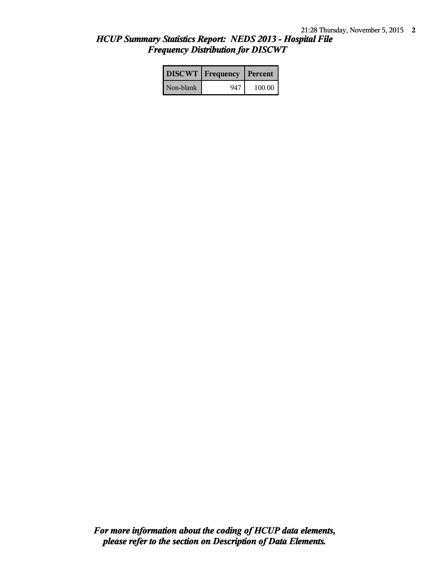### *HCUP Summary Statistics Report: NEDS 2013 - Hospital File Frequency Distribution for DISCWT*

|           | <b>DISCWT</b>   Frequency   Percent |          |
|-----------|-------------------------------------|----------|
| Non-blank | 947                                 | $100.00$ |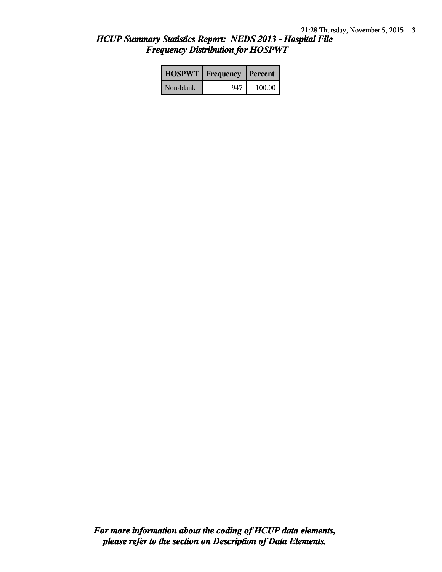## *HCUP Summary Statistics Report: NEDS 2013 - Hospital File Frequency Distribution for HOSPWT*

|           | <b>HOSPWT</b>   Frequency   Percent |        |
|-----------|-------------------------------------|--------|
| Non-blank | 947                                 | 100.00 |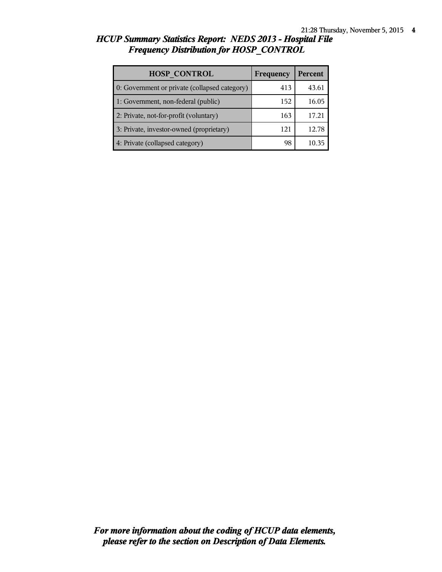# *HCUP Summary Statistics Report: NEDS 2013 - Hospital File Frequency Distribution for HOSP\_CONTROL*

| <b>HOSP CONTROL</b>                           | Frequency | <b>Percent</b> |
|-----------------------------------------------|-----------|----------------|
| 0: Government or private (collapsed category) | 413       | 43.6           |
| 1: Government, non-federal (public)           | 152       | 16.05          |
| 2: Private, not-for-profit (voluntary)        | 163       | 17.21          |
| 3: Private, investor-owned (proprietary)      | 121       | 12.78          |
| 4: Private (collapsed category)               | 98        |                |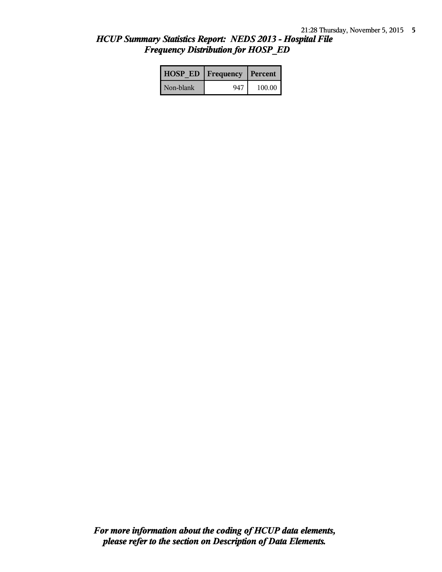## *HCUP Summary Statistics Report: NEDS 2013 - Hospital File Frequency Distribution for HOSP\_ED*

| <b>HOSP ED   Frequency   Percent  </b> |     |        |
|----------------------------------------|-----|--------|
| Non-blank                              | 947 | 100.00 |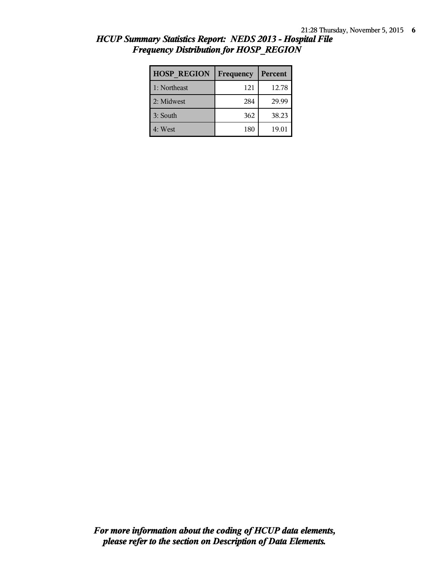| <b>HOSP REGION</b> | Frequency | Percent |
|--------------------|-----------|---------|
| 1: Northeast       | 121       | 12.78   |
| 2: Midwest         | 284       | 29.99   |
| 3: South           | 362       | 38.23   |
| 4: West            | 180       | 19.01   |

### *HCUP Summary Statistics Report: NEDS 2013 - Hospital File Frequency Distribution for HOSP\_REGION*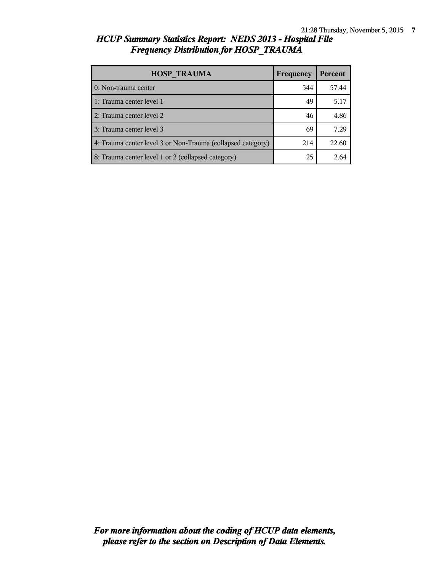#### *HCUP Summary Statistics Report: NEDS 2013 - Hospital File Frequency Distribution for HOSP\_TRAUMA*

| <b>HOSP TRAUMA</b>                                          | Frequency | <b>Percent</b> |
|-------------------------------------------------------------|-----------|----------------|
| 0: Non-trauma center                                        | 544       | 57.44          |
| 1: Trauma center level 1                                    | 49        | 5.17           |
| 2: Trauma center level 2                                    | 46        | 4.86           |
| 3: Trauma center level 3                                    | 69        | 7.29           |
| 4: Trauma center level 3 or Non-Trauma (collapsed category) | 214       | 22.60          |
| 8: Trauma center level 1 or 2 (collapsed category)          | 25        | 2.64           |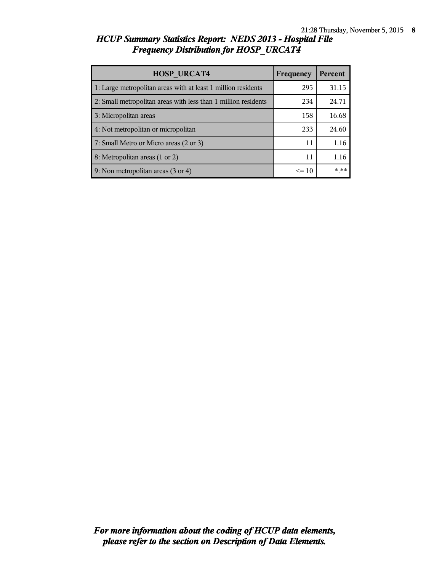## *HCUP Summary Statistics Report: NEDS 2013 - Hospital File Frequency Distribution for HOSP\_URCAT4*

| <b>HOSP URCAT4</b>                                             | Frequency | <b>Percent</b> |
|----------------------------------------------------------------|-----------|----------------|
| 1: Large metropolitan areas with at least 1 million residents  | 295       | 31.15          |
| 2: Small metropolitan areas with less than 1 million residents | 234       | 24.71          |
| 3: Micropolitan areas                                          | 158       | 16.68          |
| 4: Not metropolitan or micropolitan                            | 233       | 24.60          |
| 7: Small Metro or Micro areas (2 or 3)                         | 11        | 1.16           |
| 8: Metropolitan areas (1 or 2)                                 | 11        | 1.16           |
| 9: Non metropolitan areas (3 or 4)                             | $\leq 10$ | * **           |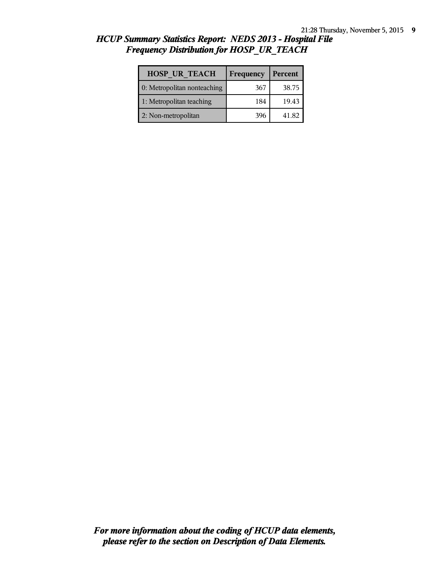| <b>HOSP UR TEACH</b>        | Frequency | Percent |
|-----------------------------|-----------|---------|
| 0: Metropolitan nonteaching | 367       | 38.75   |
| 1: Metropolitan teaching    | 184       | 19.43   |
| 2: Non-metropolitan         | 396       | 41.82   |

# *HCUP Summary Statistics Report: NEDS 2013 - Hospital File Frequency Distribution for HOSP\_UR\_TEACH*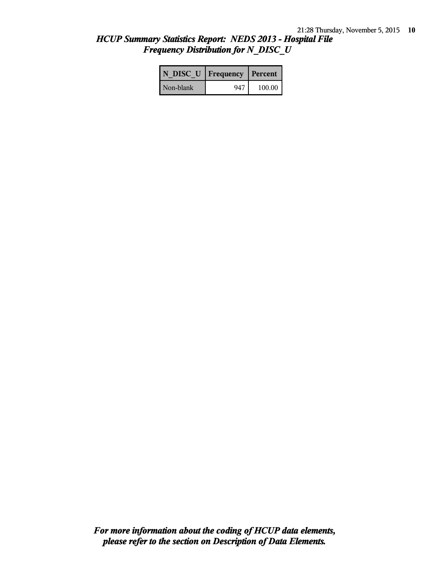## *HCUP Summary Statistics Report: NEDS 2013 - Hospital File Frequency Distribution for N\_DISC\_U*

| N DISC U   Frequency   Percent |     |        |
|--------------------------------|-----|--------|
| Non-blank                      | 947 | 100.00 |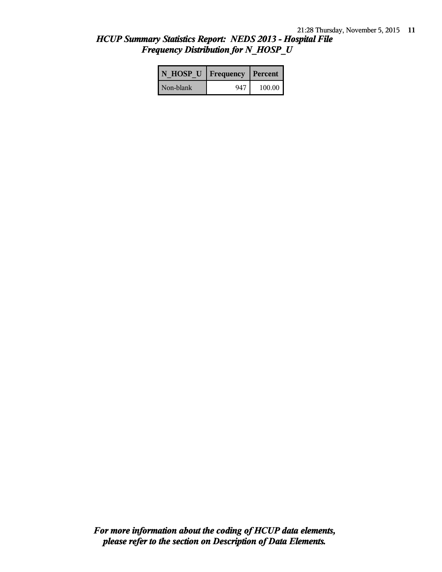## *HCUP Summary Statistics Report: NEDS 2013 - Hospital File Frequency Distribution for N\_HOSP\_U*

| N HOSP U   Frequency   Percent |     |        |
|--------------------------------|-----|--------|
| Non-blank                      | 947 | 100.00 |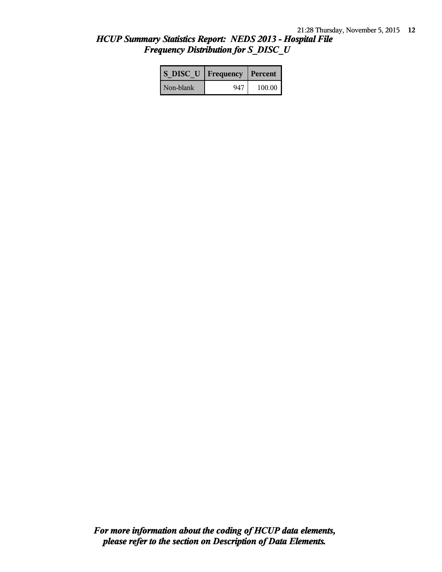## *HCUP Summary Statistics Report: NEDS 2013 - Hospital File Frequency Distribution for S\_DISC\_U*

| S DISC U   Frequency   Percent |     |        |
|--------------------------------|-----|--------|
| Non-blank                      | 947 | 100.00 |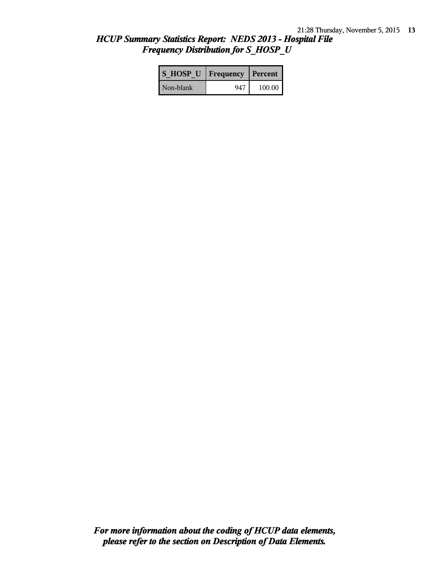## *HCUP Summary Statistics Report: NEDS 2013 - Hospital File Frequency Distribution for S\_HOSP\_U*

| S HOSP U   Frequency   Percent |     |        |
|--------------------------------|-----|--------|
| Non-blank                      | 947 | 100.00 |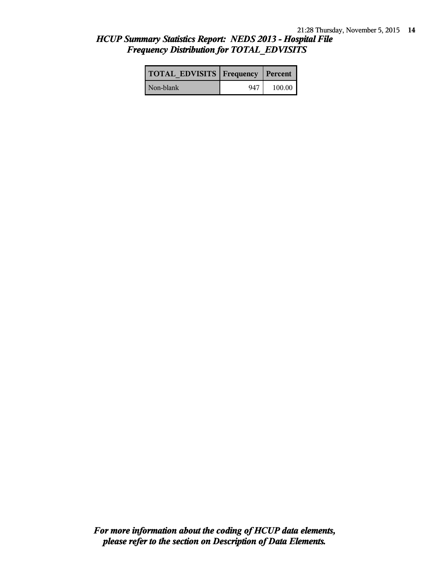## *HCUP Summary Statistics Report: NEDS 2013 - Hospital File Frequency Distribution for TOTAL\_EDVISITS*

| <b>TOTAL EDVISITS   Frequency   Percent  </b> |     |        |
|-----------------------------------------------|-----|--------|
| l Non-blank                                   | 947 | 100.00 |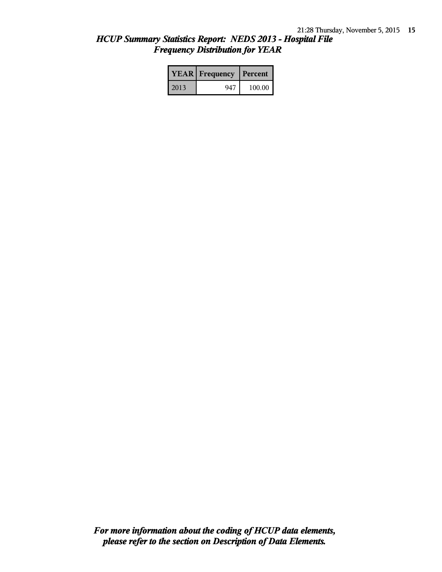## *HCUP Summary Statistics Report: NEDS 2013 - Hospital File Frequency Distribution for YEAR*

|      | <b>YEAR</b> Frequency | l Percent |
|------|-----------------------|-----------|
| 2013 | 947                   | 100.00    |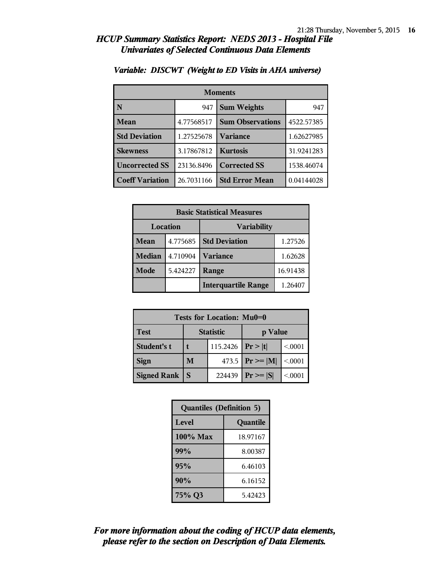| <b>Moments</b>         |            |                         |            |
|------------------------|------------|-------------------------|------------|
| N                      | 947        | <b>Sum Weights</b>      |            |
| Mean                   | 4.77568517 | <b>Sum Observations</b> | 4522.57385 |
| <b>Std Deviation</b>   | 1.27525678 | Variance                | 1.62627985 |
| <b>Skewness</b>        | 3.17867812 | <b>Kurtosis</b>         | 31.9241283 |
| <b>Uncorrected SS</b>  | 23136.8496 | <b>Corrected SS</b>     | 1538.46074 |
| <b>Coeff Variation</b> | 26.7031166 | <b>Std Error Mean</b>   | 0.04144028 |

#### *Variable: DISCWT (Weight to ED Visits in AHA universe)*

| <b>Basic Statistical Measures</b> |          |                            |          |
|-----------------------------------|----------|----------------------------|----------|
| Location                          |          | <b>Variability</b>         |          |
| Mean                              | 4.775685 | <b>Std Deviation</b>       | 1.27526  |
| <b>Median</b>                     | 4.710904 | <b>Variance</b>            | 1.62628  |
| Mode                              | 5.424227 | Range                      | 16.91438 |
|                                   |          | <b>Interquartile Range</b> | 1.26407  |

| <b>Tests for Location: Mu0=0</b> |                             |                       |                     |         |
|----------------------------------|-----------------------------|-----------------------|---------------------|---------|
| <b>Test</b>                      | <b>Statistic</b><br>p Value |                       |                     |         |
| <b>Student's t</b>               |                             | 115.2426   $Pr >  t $ |                     | < 0.001 |
| <b>Sign</b>                      | M                           |                       | 473.5 $ Pr \ge  M $ | < 0.001 |
| <b>Signed Rank</b>               |                             | 224439                | $Pr \geq  S $       | < 0.001 |

| <b>Quantiles (Definition 5)</b> |          |  |
|---------------------------------|----------|--|
| Level<br>Quantile               |          |  |
| $100\%$ Max                     | 18.97167 |  |
| 99%                             | 8.00387  |  |
| 95%                             | 6.46103  |  |
| 90%                             | 6.16152  |  |
| 75% Q3                          | 5.42423  |  |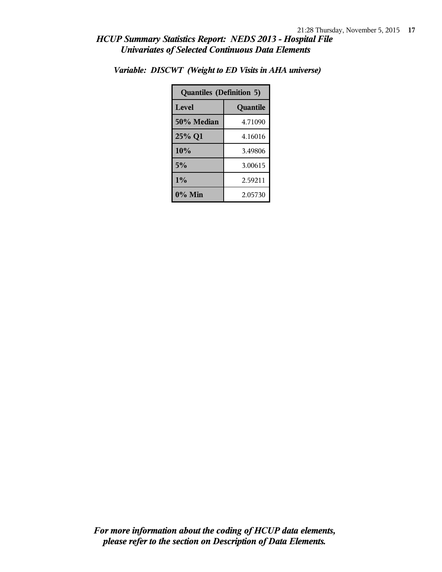| <b>Quantiles (Definition 5)</b> |          |  |
|---------------------------------|----------|--|
| Level                           | Quantile |  |
| 50% Median                      | 4.71090  |  |
| 25% Q1                          | 4.16016  |  |
| 10%                             | 3.49806  |  |
| 5%                              | 3.00615  |  |
| $1\%$                           | 2.59211  |  |
| $0\%$ Min                       | 2.05730  |  |

*Variable: DISCWT (Weight to ED Visits in AHA universe)*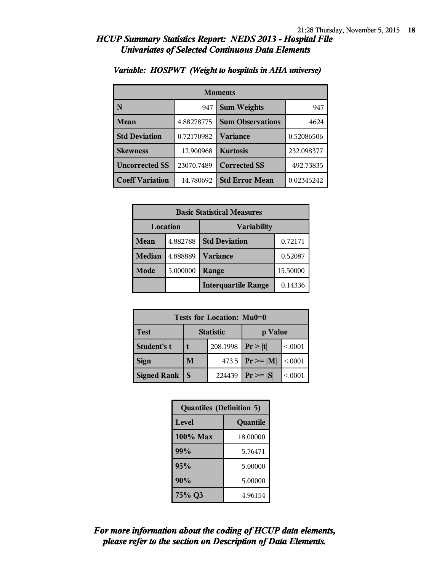| <b>Moments</b>         |            |                           |            |
|------------------------|------------|---------------------------|------------|
| N                      | 947        | <b>Sum Weights</b><br>947 |            |
| <b>Mean</b>            | 4.88278775 | <b>Sum Observations</b>   | 4624       |
| <b>Std Deviation</b>   | 0.72170982 | <b>Variance</b>           | 0.52086506 |
| <b>Skewness</b>        | 12.900968  | <b>Kurtosis</b>           | 232.098377 |
| <b>Uncorrected SS</b>  | 23070.7489 | <b>Corrected SS</b>       | 492.73835  |
| <b>Coeff Variation</b> | 14.780692  | <b>Std Error Mean</b>     | 0.02345242 |

#### *Variable: HOSPWT (Weight to hospitals in AHA universe)*

| <b>Basic Statistical Measures</b> |          |                            |          |
|-----------------------------------|----------|----------------------------|----------|
| Location                          |          | <b>Variability</b>         |          |
| <b>Mean</b>                       | 4.882788 | <b>Std Deviation</b>       | 0.72171  |
| <b>Median</b>                     | 4.888889 | <b>Variance</b>            | 0.52087  |
| Mode                              | 5.000000 | Range                      | 15.50000 |
|                                   |          | <b>Interquartile Range</b> | 0.14336  |

| <b>Tests for Location: Mu0=0</b> |                             |          |                     |         |
|----------------------------------|-----------------------------|----------|---------------------|---------|
| <b>Test</b>                      | <b>Statistic</b><br>p Value |          |                     |         |
| <b>Student's t</b>               |                             | 208.1998 | Pr> t               | < 0.001 |
| <b>Sign</b>                      | M                           |          | 473.5 $ Pr \ge  M $ | < 0.001 |
| <b>Signed Rank</b>               | S                           | 224439   | $Pr \geq  S $       | < 0.001 |

| <b>Quantiles (Definition 5)</b> |          |  |
|---------------------------------|----------|--|
| Level<br>Quantile               |          |  |
| $100\%$ Max                     | 18.00000 |  |
| 99%                             | 5.76471  |  |
| 95%                             | 5.00000  |  |
| 90%                             | 5.00000  |  |
| 75% Q3                          | 4.96154  |  |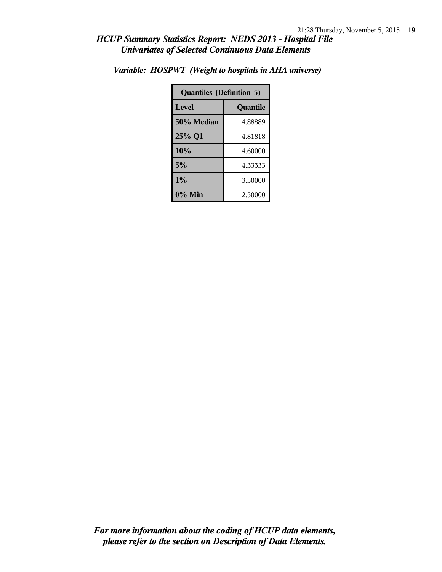| <b>Quantiles (Definition 5)</b> |          |  |
|---------------------------------|----------|--|
| Level                           | Quantile |  |
| 50% Median                      | 4.88889  |  |
| 25% Q1                          | 4.81818  |  |
| 10%                             | 4.60000  |  |
| 5%                              | 4.33333  |  |
| $1\%$                           | 3.50000  |  |
| $0\%$ Min                       | 2.50000  |  |

*Variable: HOSPWT (Weight to hospitals in AHA universe)*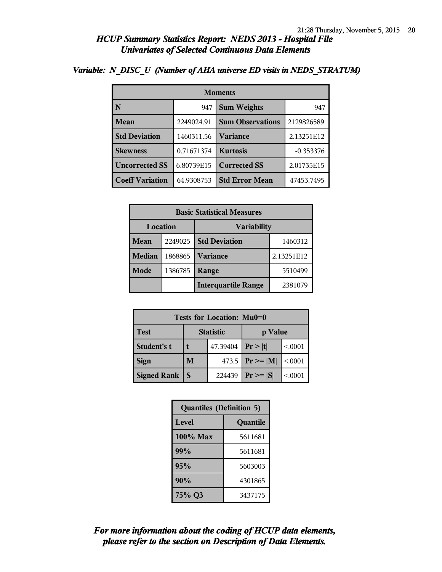| <b>Moments</b>         |            |                         |             |  |
|------------------------|------------|-------------------------|-------------|--|
| N                      | 947        | <b>Sum Weights</b>      | 947         |  |
| <b>Mean</b>            | 2249024.91 | <b>Sum Observations</b> | 2129826589  |  |
| <b>Std Deviation</b>   | 1460311.56 | Variance                | 2.13251E12  |  |
| <b>Skewness</b>        | 0.71671374 | <b>Kurtosis</b>         | $-0.353376$ |  |
| <b>Uncorrected SS</b>  | 6.80739E15 | <b>Corrected SS</b>     | 2.01735E15  |  |
| <b>Coeff Variation</b> | 64.9308753 | <b>Std Error Mean</b>   | 47453.7495  |  |

#### *Variable: N\_DISC\_U (Number of AHA universe ED visits in NEDS\_STRATUM)*

| <b>Basic Statistical Measures</b>     |         |                                 |            |  |
|---------------------------------------|---------|---------------------------------|------------|--|
| <b>Location</b><br><b>Variability</b> |         |                                 |            |  |
| Mean                                  | 2249025 | <b>Std Deviation</b><br>1460312 |            |  |
| <b>Median</b>                         | 1868865 | <b>Variance</b>                 | 2.13251E12 |  |
| Mode                                  | 1386785 | Range                           | 5510499    |  |
|                                       |         | <b>Interquartile Range</b>      | 2381079    |  |

| Tests for Location: Mu0=0                  |   |          |                     |         |  |
|--------------------------------------------|---|----------|---------------------|---------|--|
| <b>Statistic</b><br><b>Test</b><br>p Value |   |          |                     |         |  |
| Student's t                                |   | 47.39404 | Pr >  t             | < 0.001 |  |
| <b>Sign</b>                                | M |          | 473.5 $ Pr \ge  M $ | < 0.001 |  |
| <b>Signed Rank</b>                         |   | 224439   | $ Pr \ge =  S $     | < 0.001 |  |

| <b>Quantiles (Definition 5)</b> |         |  |
|---------------------------------|---------|--|
| Level<br>Quantile               |         |  |
| $100\%$ Max                     | 5611681 |  |
| 99%                             | 5611681 |  |
| 95%                             | 5603003 |  |
| 90%<br>4301865                  |         |  |
| 75% Q3                          | 3437175 |  |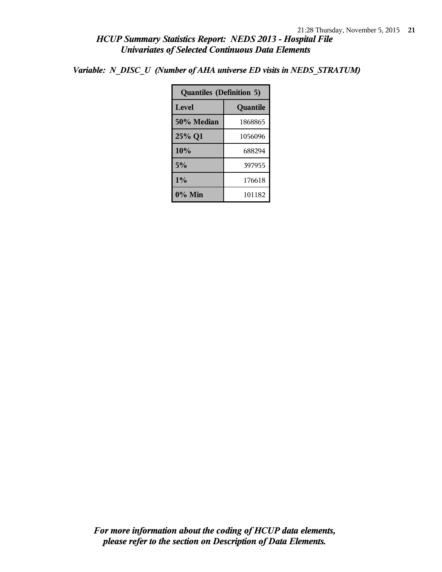*Variable: N\_DISC\_U (Number of AHA universe ED visits in NEDS\_STRATUM)*

| <b>Quantiles (Definition 5)</b> |          |  |
|---------------------------------|----------|--|
| Level                           | Quantile |  |
| 50% Median                      | 1868865  |  |
| 25% Q1                          | 1056096  |  |
| 10%                             | 688294   |  |
| 5%                              | 397955   |  |
| 1%                              | 176618   |  |
| $0\%$ Min                       | 101182   |  |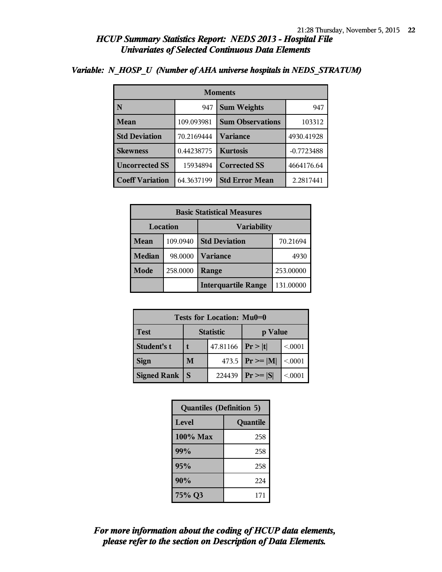| <b>Moments</b>         |            |                         |              |
|------------------------|------------|-------------------------|--------------|
|                        | 947        | <b>Sum Weights</b>      | 947          |
| Mean                   | 109.093981 | <b>Sum Observations</b> | 103312       |
| <b>Std Deviation</b>   | 70.2169444 | <b>Variance</b>         | 4930.41928   |
| <b>Skewness</b>        | 0.44238775 | <b>Kurtosis</b>         | $-0.7723488$ |
| <b>Uncorrected SS</b>  | 15934894   | <b>Corrected SS</b>     | 4664176.64   |
| <b>Coeff Variation</b> | 64.3637199 | <b>Std Error Mean</b>   | 2.2817441    |

#### *Variable: N\_HOSP\_U (Number of AHA universe hospitals in NEDS\_STRATUM)*

| <b>Basic Statistical Measures</b> |          |                            |           |
|-----------------------------------|----------|----------------------------|-----------|
| Location<br><b>Variability</b>    |          |                            |           |
| Mean                              | 109.0940 | <b>Std Deviation</b>       | 70.21694  |
| <b>Median</b>                     | 98.0000  | <b>Variance</b>            | 4930      |
| Mode                              | 258.0000 | Range                      | 253.00000 |
|                                   |          | <b>Interquartile Range</b> | 131.00000 |

| Tests for Location: Mu0=0 |                             |                    |                     |         |  |  |
|---------------------------|-----------------------------|--------------------|---------------------|---------|--|--|
| <b>Test</b>               | <b>Statistic</b><br>p Value |                    |                     |         |  |  |
| Student's t               |                             | 47.81166 $ Pr> t $ |                     | < 0.001 |  |  |
| <b>Sign</b>               | M                           |                    | 473.5 $ Pr \ge  M $ | < 0.001 |  |  |
| <b>Signed Rank</b>        |                             | 224439             | $ Pr \ge  S $       | < 0.001 |  |  |

| <b>Quantiles (Definition 5)</b> |     |  |
|---------------------------------|-----|--|
| Level<br>Quantile               |     |  |
| $100\%$ Max                     | 258 |  |
| 99%                             | 258 |  |
| 95%                             | 258 |  |
| 90%                             | 224 |  |
| 75% Q3                          | 171 |  |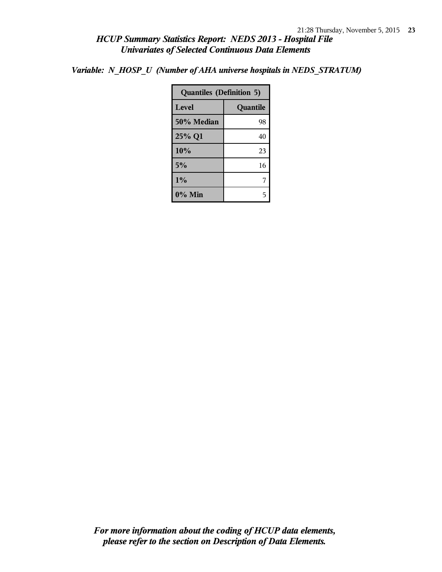*Variable: N\_HOSP\_U (Number of AHA universe hospitals in NEDS\_STRATUM)*

| <b>Quantiles (Definition 5)</b> |          |  |
|---------------------------------|----------|--|
| Level                           | Quantile |  |
| 50% Median                      | 98       |  |
| 25% Q1                          | 40       |  |
| 10%                             | 23       |  |
| 5%                              | 16       |  |
| 1%                              |          |  |
| 0% Min                          |          |  |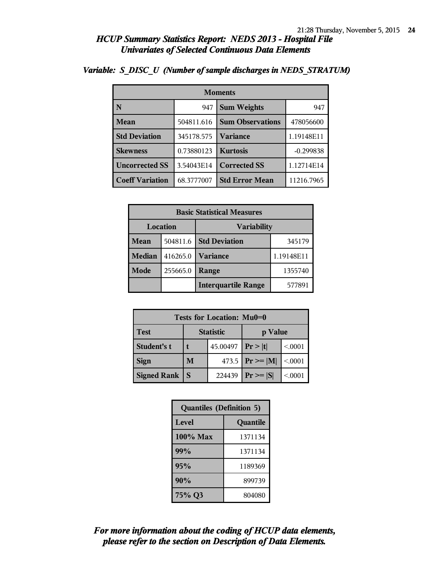| <b>Moments</b>         |            |                         |             |  |
|------------------------|------------|-------------------------|-------------|--|
|                        | 947        | <b>Sum Weights</b>      | 947         |  |
| <b>Mean</b>            | 504811.616 | <b>Sum Observations</b> | 478056600   |  |
| <b>Std Deviation</b>   | 345178.575 | <b>Variance</b>         | 1.19148E11  |  |
| <b>Skewness</b>        | 0.73880123 | <b>Kurtosis</b>         | $-0.299838$ |  |
| <b>Uncorrected SS</b>  | 3.54043E14 | <b>Corrected SS</b>     | 1.12714E14  |  |
| <b>Coeff Variation</b> | 68.3777007 | <b>Std Error Mean</b>   | 11216.7965  |  |

### *Variable: S\_DISC\_U (Number of sample discharges in NEDS\_STRATUM)*

| <b>Basic Statistical Measures</b> |          |                            |            |  |
|-----------------------------------|----------|----------------------------|------------|--|
| Location<br><b>Variability</b>    |          |                            |            |  |
| Mean                              | 504811.6 | <b>Std Deviation</b>       | 345179     |  |
| <b>Median</b>                     | 416265.0 | <b>Variance</b>            | 1.19148E11 |  |
| Mode                              | 255665.0 | Range                      | 1355740    |  |
|                                   |          | <b>Interquartile Range</b> | 577891     |  |

| Tests for Location: Mu0=0                  |   |          |                     |         |  |  |
|--------------------------------------------|---|----------|---------------------|---------|--|--|
| <b>Statistic</b><br><b>Test</b><br>p Value |   |          |                     |         |  |  |
| Student's t                                |   | 45.00497 | Pr >  t             | < 0.001 |  |  |
| <b>Sign</b>                                | M |          | 473.5 $ Pr \ge  M $ | < .0001 |  |  |
| <b>Signed Rank</b>                         |   | 224439   | $Pr \geq  S $       | < 0.001 |  |  |

| <b>Quantiles (Definition 5)</b> |         |  |  |
|---------------------------------|---------|--|--|
| Level<br>Quantile               |         |  |  |
| $100\%$ Max                     | 1371134 |  |  |
| 99%                             | 1371134 |  |  |
| 95%                             | 1189369 |  |  |
| 90%                             | 899739  |  |  |
| 75% Q3                          | 804080  |  |  |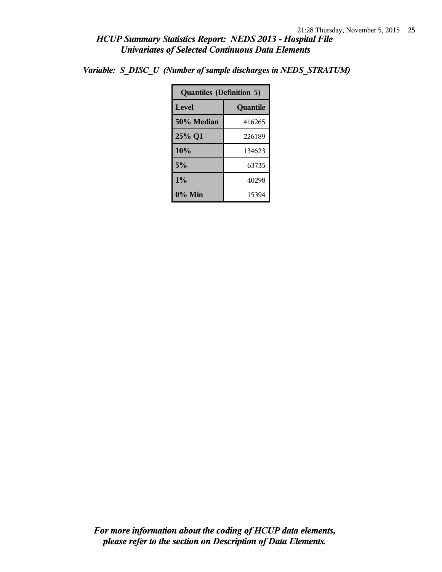*Variable: S\_DISC\_U (Number of sample discharges in NEDS\_STRATUM)*

| <b>Quantiles (Definition 5)</b> |        |  |
|---------------------------------|--------|--|
| Level<br>Quantile               |        |  |
| 50% Median                      | 416265 |  |
| 25% Q1                          | 226189 |  |
| 10%                             | 134623 |  |
| 5%                              | 63735  |  |
| $1\%$                           | 40298  |  |
| 0% Min<br>15394                 |        |  |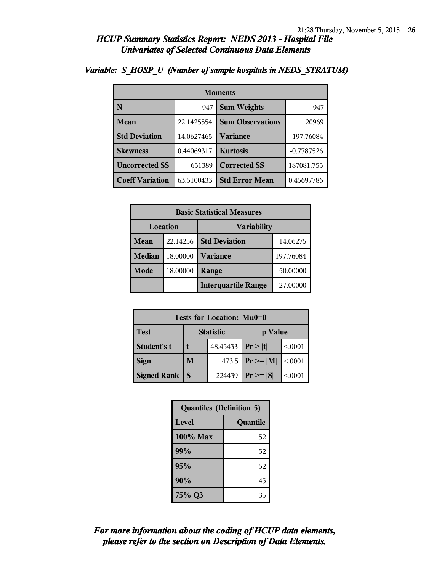| <b>Moments</b>                     |            |                         |              |  |  |
|------------------------------------|------------|-------------------------|--------------|--|--|
| N                                  | 947        | <b>Sum Weights</b>      | 947          |  |  |
| Mean                               | 22.1425554 | <b>Sum Observations</b> | 20969        |  |  |
| <b>Std Deviation</b><br>14.0627465 |            | <b>Variance</b>         | 197.76084    |  |  |
| <b>Skewness</b>                    | 0.44069317 | <b>Kurtosis</b>         | $-0.7787526$ |  |  |
| <b>Uncorrected SS</b><br>651389    |            | <b>Corrected SS</b>     | 187081.755   |  |  |
| <b>Coeff Variation</b>             | 63.5100433 | <b>Std Error Mean</b>   | 0.45697786   |  |  |

#### *Variable: S\_HOSP\_U (Number of sample hospitals in NEDS\_STRATUM)*

| <b>Basic Statistical Measures</b> |          |                            |           |  |
|-----------------------------------|----------|----------------------------|-----------|--|
| Location<br><b>Variability</b>    |          |                            |           |  |
| Mean                              | 22.14256 | <b>Std Deviation</b>       | 14.06275  |  |
| <b>Median</b>                     | 18.00000 | <b>Variance</b>            | 197.76084 |  |
| Mode                              | 18.00000 | Range                      | 50.00000  |  |
|                                   |          | <b>Interquartile Range</b> | 27.00000  |  |

| Tests for Location: Mu0=0 |                             |        |                     |         |  |  |
|---------------------------|-----------------------------|--------|---------------------|---------|--|--|
| <b>Test</b>               | <b>Statistic</b><br>p Value |        |                     |         |  |  |
| Student's t               | 48.45433   $Pr >  t $       |        |                     | < 0.001 |  |  |
| <b>Sign</b>               | M                           |        | 473.5 $ Pr \ge  M $ | < 0.001 |  |  |
| <b>Signed Rank</b>        |                             | 224439 | $Pr \geq  S $       | < 0.001 |  |  |

| <b>Quantiles (Definition 5)</b> |          |  |  |
|---------------------------------|----------|--|--|
| Level                           | Quantile |  |  |
| $100\%$ Max                     | 52       |  |  |
| 99%                             | 52       |  |  |
| 95%                             | 52       |  |  |
| 90%                             | 45       |  |  |
| 75% Q3                          | 35       |  |  |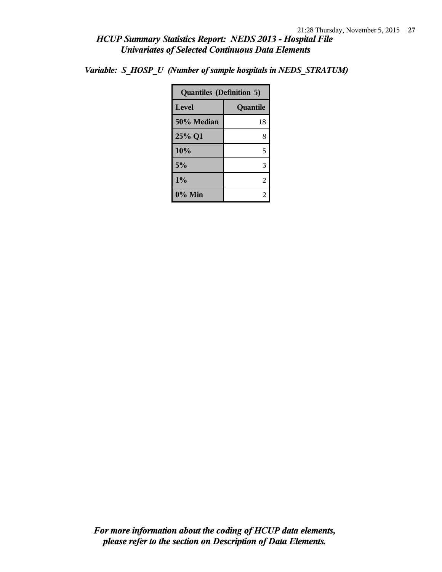*Variable: S\_HOSP\_U (Number of sample hospitals in NEDS\_STRATUM)*

| <b>Quantiles (Definition 5)</b> |          |  |
|---------------------------------|----------|--|
| Level                           | Quantile |  |
| 50% Median                      | 18       |  |
| 25% Q1                          | 8        |  |
| 10%                             | 5        |  |
| 5%                              | 3        |  |
| 1%                              | 2        |  |
| $0\%$ Min                       |          |  |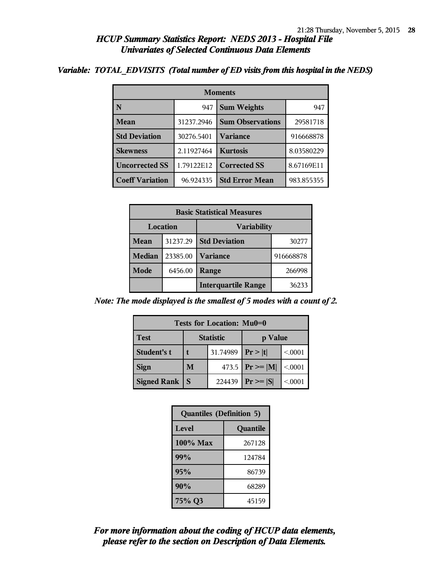#### *Variable: TOTAL\_EDVISITS (Total number of ED visits from this hospital in the NEDS)*

| <b>Moments</b>         |            |                         |            |  |  |
|------------------------|------------|-------------------------|------------|--|--|
| N                      | 947        | <b>Sum Weights</b>      | 947        |  |  |
| <b>Mean</b>            | 31237.2946 | <b>Sum Observations</b> | 29581718   |  |  |
| <b>Std Deviation</b>   | 30276.5401 | <b>Variance</b>         | 916668878  |  |  |
| <b>Skewness</b>        | 2.11927464 | <b>Kurtosis</b>         | 8.03580229 |  |  |
| <b>Uncorrected SS</b>  | 1.79122E12 | <b>Corrected SS</b>     | 8.67169E11 |  |  |
| <b>Coeff Variation</b> | 96.924335  | <b>Std Error Mean</b>   | 983.855355 |  |  |

| <b>Basic Statistical Measures</b> |          |                            |           |  |
|-----------------------------------|----------|----------------------------|-----------|--|
| <b>Variability</b><br>Location    |          |                            |           |  |
| Mean                              | 31237.29 | <b>Std Deviation</b>       | 30277     |  |
| <b>Median</b>                     | 23385.00 | <b>Variance</b>            | 916668878 |  |
| Mode                              | 6456.00  | Range                      | 266998    |  |
|                                   |          | <b>Interquartile Range</b> | 36233     |  |

*Note: The mode displayed is the smallest of 5 modes with a count of 2.*

| Tests for Location: Mu0=0 |                             |        |                     |         |  |  |
|---------------------------|-----------------------------|--------|---------------------|---------|--|--|
| <b>Test</b>               | <b>Statistic</b><br>p Value |        |                     |         |  |  |
| Student's t               | 31.74989                    |        | Pr> t               | < 0.001 |  |  |
| <b>Sign</b>               | M                           |        | 473.5 $ Pr \ge  M $ | < .0001 |  |  |
| <b>Signed Rank</b>        | S                           | 224439 | $Pr \geq  S $       | < 0.001 |  |  |

| <b>Quantiles (Definition 5)</b> |          |
|---------------------------------|----------|
| Level                           | Quantile |
| $100\%$ Max                     | 267128   |
| 99%                             | 124784   |
| 95%                             | 86739    |
| 90%                             | 68289    |
| 75% Q3                          | 45159    |